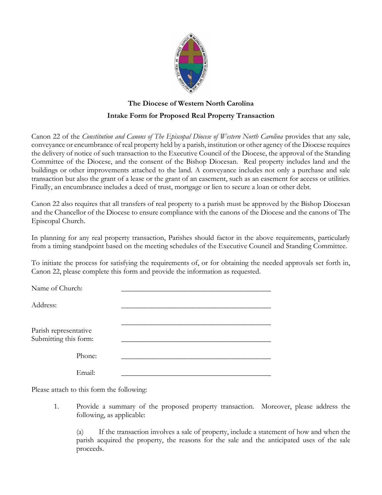

## **The Diocese of Western North Carolina Intake Form for Proposed Real Property Transaction**

Canon 22 of the *Constitution and Canons of The Episcopal Diocese of Western North Carolina* provides that any sale, conveyance or encumbrance of real property held by a parish, institution or other agency of the Diocese requires the delivery of notice of such transaction to the Executive Council of the Diocese, the approval of the Standing Committee of the Diocese, and the consent of the Bishop Diocesan. Real property includes land and the buildings or other improvements attached to the land. A conveyance includes not only a purchase and sale transaction but also the grant of a lease or the grant of an easement, such as an easement for access or utilities. Finally, an encumbrance includes a deed of trust, mortgage or lien to secure a loan or other debt.

Canon 22 also requires that all transfers of real property to a parish must be approved by the Bishop Diocesan and the Chancellor of the Diocese to ensure compliance with the canons of the Diocese and the canons of The Episcopal Church.

In planning for any real property transaction, Parishes should factor in the above requirements, particularly from a timing standpoint based on the meeting schedules of the Executive Council and Standing Committee.

To initiate the process for satisfying the requirements of, or for obtaining the needed approvals set forth in, Canon 22, please complete this form and provide the information as requested.

| Name of Church:                                |  |
|------------------------------------------------|--|
| Address:                                       |  |
| Parish representative<br>Submitting this form: |  |
| Phone:                                         |  |
| Email:                                         |  |

Please attach to this form the following:

1. Provide a summary of the proposed property transaction. Moreover, please address the following, as applicable:

(a) If the transaction involves a sale of property, include a statement of how and when the parish acquired the property, the reasons for the sale and the anticipated uses of the sale proceeds.